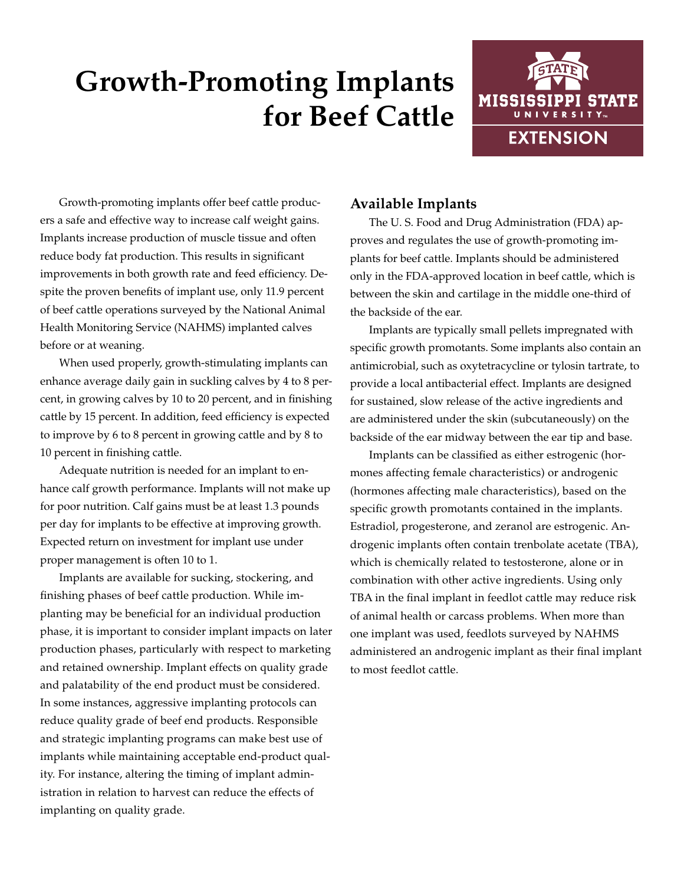# **Growth-Promoting Implants for Beef Cattle**



Growth-promoting implants offer beef cattle producers a safe and effective way to increase calf weight gains. Implants increase production of muscle tissue and often reduce body fat production. This results in significant improvements in both growth rate and feed efficiency. Despite the proven benefits of implant use, only 11.9 percent of beef cattle operations surveyed by the National Animal Health Monitoring Service (NAHMS) implanted calves before or at weaning.

When used properly, growth-stimulating implants can enhance average daily gain in suckling calves by 4 to 8 percent, in growing calves by 10 to 20 percent, and in finishing cattle by 15 percent. In addition, feed efficiency is expected to improve by 6 to 8 percent in growing cattle and by 8 to 10 percent in finishing cattle.

Adequate nutrition is needed for an implant to enhance calf growth performance. Implants will not make up for poor nutrition. Calf gains must be at least 1.3 pounds per day for implants to be effective at improving growth. Expected return on investment for implant use under proper management is often 10 to 1.

Implants are available for sucking, stockering, and finishing phases of beef cattle production. While implanting may be beneficial for an individual production phase, it is important to consider implant impacts on later production phases, particularly with respect to marketing and retained ownership. Implant effects on quality grade and palatability of the end product must be considered. In some instances, aggressive implanting protocols can reduce quality grade of beef end products. Responsible and strategic implanting programs can make best use of implants while maintaining acceptable end-product quality. For instance, altering the timing of implant administration in relation to harvest can reduce the effects of implanting on quality grade.

## **Available Implants**

The U. S. Food and Drug Administration (FDA) approves and regulates the use of growth-promoting implants for beef cattle. Implants should be administered only in the FDA-approved location in beef cattle, which is between the skin and cartilage in the middle one-third of the backside of the ear.

Implants are typically small pellets impregnated with specific growth promotants. Some implants also contain an antimicrobial, such as oxytetracycline or tylosin tartrate, to provide a local antibacterial effect. Implants are designed for sustained, slow release of the active ingredients and are administered under the skin (subcutaneously) on the backside of the ear midway between the ear tip and base.

Implants can be classified as either estrogenic (hormones affecting female characteristics) or androgenic (hormones affecting male characteristics), based on the specific growth promotants contained in the implants. Estradiol, progesterone, and zeranol are estrogenic. Androgenic implants often contain trenbolate acetate (TBA), which is chemically related to testosterone, alone or in combination with other active ingredients. Using only TBA in the final implant in feedlot cattle may reduce risk of animal health or carcass problems. When more than one implant was used, feedlots surveyed by NAHMS administered an androgenic implant as their final implant to most feedlot cattle.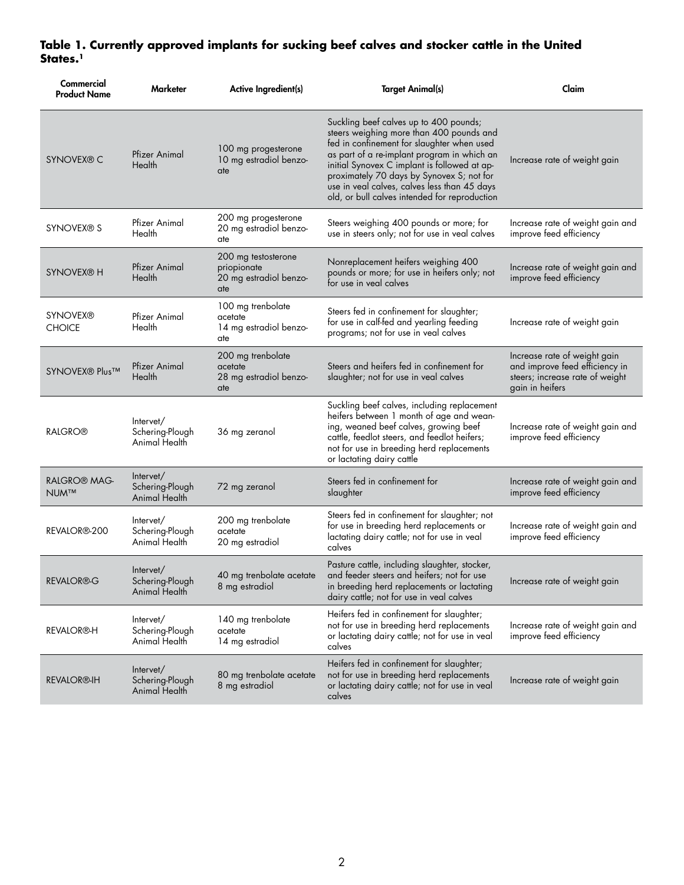## **Table 1. Currently approved implants for sucking beef calves and stocker cattle in the United States.1**

| Commercial<br><b>Product Name</b>      | Marketer                                             | Active Ingredient(s)                                                | <b>Target Animal(s)</b>                                                                                                                                                                                                                                                                                                                                                       | Claim                                                                                                                |
|----------------------------------------|------------------------------------------------------|---------------------------------------------------------------------|-------------------------------------------------------------------------------------------------------------------------------------------------------------------------------------------------------------------------------------------------------------------------------------------------------------------------------------------------------------------------------|----------------------------------------------------------------------------------------------------------------------|
| <b>SYNOVEX® C</b>                      | Pfizer Animal<br>Health                              | 100 mg progesterone<br>10 mg estradiol benzo-<br>ate                | Suckling beef calves up to 400 pounds;<br>steers weighing more than 400 pounds and<br>fed in confinement for slaughter when used<br>as part of a re-implant program in which an<br>initial Synovex C implant is followed at ap-<br>proximately 70 days by Synovex S; not for<br>use in veal calves, calves less than 45 days<br>old, or bull calves intended for reproduction | Increase rate of weight gain                                                                                         |
| SYNOVEX® S                             | Pfizer Animal<br>Health                              | 200 mg progesterone<br>20 mg estradiol benzo-<br>ate                | Steers weighing 400 pounds or more; for<br>use in steers only; not for use in veal calves                                                                                                                                                                                                                                                                                     | Increase rate of weight gain and<br>improve feed efficiency                                                          |
| <b>SYNOVEX® H</b>                      | Pfizer Animal<br>Health                              | 200 mg testosterone<br>priopionate<br>20 mg estradiol benzo-<br>ate | Nonreplacement heifers weighing 400<br>pounds or more; for use in heifers only; not<br>for use in veal calves                                                                                                                                                                                                                                                                 | Increase rate of weight gain and<br>improve feed efficiency                                                          |
| <b>SYNOVEX®</b><br><b>CHOICE</b>       | Pfizer Animal<br>Health                              | 100 mg trenbolate<br>acetate<br>14 mg estradiol benzo-<br>ate       | Steers fed in confinement for slaughter;<br>for use in calf-fed and yearling feeding<br>programs; not for use in veal calves                                                                                                                                                                                                                                                  | Increase rate of weight gain                                                                                         |
| SYNOVEX <sup>®</sup> Plus <sup>™</sup> | Pfizer Animal<br>Health                              | 200 mg trenbolate<br>acetate<br>28 mg estradiol benzo-<br>ate       | Steers and heifers fed in confinement for<br>slaughter; not for use in veal calves                                                                                                                                                                                                                                                                                            | Increase rate of weight gain<br>and improve feed efficiency in<br>steers; increase rate of weight<br>gain in heifers |
| <b>RALGRO®</b>                         | Intervet/<br>Schering-Plough<br>Animal Health        | 36 mg zeranol                                                       | Suckling beef calves, including replacement<br>heifers between 1 month of age and wean-<br>ing, weaned beef calves, growing beef<br>cattle, feedlot steers, and feedlot heifers;<br>not for use in breeding herd replacements<br>or lactating dairy cattle                                                                                                                    | Increase rate of weight gain and<br>improve feed efficiency                                                          |
| <b>RALGRO® MAG-</b><br><b>NUM™</b>     | Intervet/<br>Schering-Plough<br><b>Animal Health</b> | 72 mg zeranol                                                       | Steers fed in confinement for<br>slaughter                                                                                                                                                                                                                                                                                                                                    | Increase rate of weight gain and<br>improve feed efficiency                                                          |
| REVALOR <sup>®</sup> -200              | Intervet/<br>Schering-Plough<br>Animal Health        | 200 mg trenbolate<br>acetate<br>20 mg estradiol                     | Steers fed in confinement for slaughter; not<br>for use in breeding herd replacements or<br>lactating dairy cattle; not for use in veal<br>calves                                                                                                                                                                                                                             | Increase rate of weight gain and<br>improve feed efficiency                                                          |
| <b>REVALOR®G</b>                       | Intervet/<br>Schering-Plough<br>Animal Health        | 40 mg trenbolate acetate<br>8 mg estradiol                          | Pasture cattle, including slaughter, stocker,<br>and feeder steers and heifers; not for use<br>in breeding herd replacements or lactating<br>dairy cattle; not for use in veal calves                                                                                                                                                                                         | Increase rate of weight gain                                                                                         |
| <b>REVALOR®-H</b>                      | Intervet/<br>Schering-Plough<br>Animal Health        | 140 mg trenbolate<br>acetate<br>14 mg estradiol                     | Heifers fed in confinement for slaughter;<br>not for use in breeding herd replacements<br>or lactating dairy cattle; not for use in veal<br>calves                                                                                                                                                                                                                            | Increase rate of weight gain and<br>improve feed efficiency                                                          |
| <b>REVALOR®-IH</b>                     | Intervet/<br>Schering-Plough<br>Animal Health        | 80 mg trenbolate acetate<br>8 mg estradiol                          | Heifers fed in confinement for slaughter;<br>not for use in breeding herd replacements<br>or lactating dairy cattle; not for use in veal<br>calves                                                                                                                                                                                                                            | Increase rate of weight gain                                                                                         |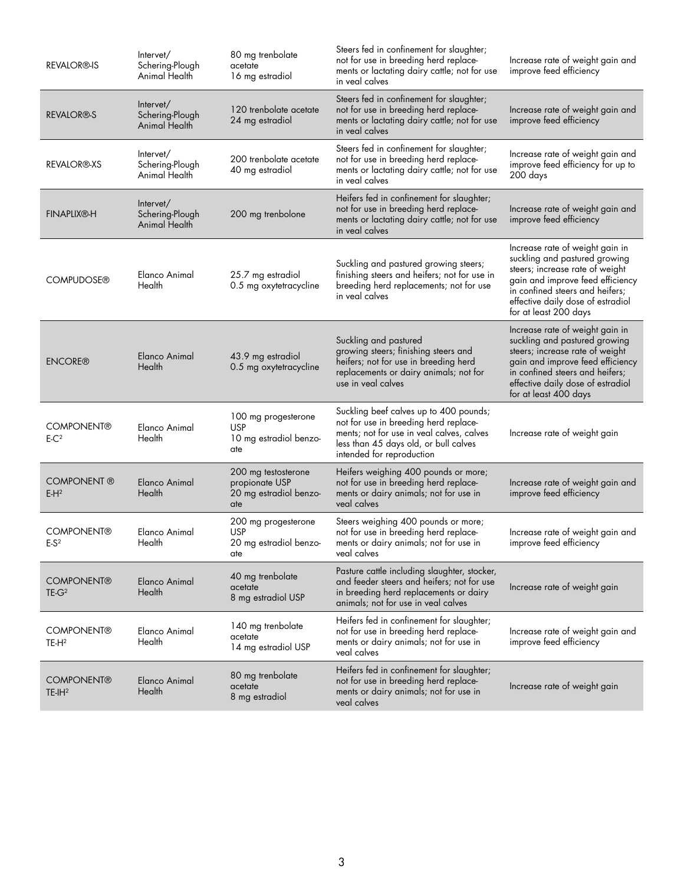| <b>REVALOR®-IS</b>                     | Intervet/<br>Schering-Plough<br>Animal Health | 80 mg trenbolate<br>acetate<br>16 mg estradiol                         | Steers fed in confinement for slaughter;<br>not for use in breeding herd replace-<br>ments or lactating dairy cattle; not for use<br>in veal calves                                                | Increase rate of weight gain and<br>improve feed efficiency                                                                                                                                                                              |
|----------------------------------------|-----------------------------------------------|------------------------------------------------------------------------|----------------------------------------------------------------------------------------------------------------------------------------------------------------------------------------------------|------------------------------------------------------------------------------------------------------------------------------------------------------------------------------------------------------------------------------------------|
| <b>REVALOR®-S</b>                      | Intervet/<br>Schering-Plough<br>Animal Health | 120 trenbolate acetate<br>24 mg estradiol                              | Steers fed in confinement for slaughter;<br>not for use in breeding herd replace-<br>ments or lactating dairy cattle; not for use<br>in veal calves                                                | Increase rate of weight gain and<br>improve feed efficiency                                                                                                                                                                              |
| <b>REVALOR®-XS</b>                     | Intervet/<br>Schering-Plough<br>Animal Health | 200 trenbolate acetate<br>40 mg estradiol                              | Steers fed in confinement for slaughter;<br>not for use in breeding herd replace-<br>ments or lactating dairy cattle; not for use<br>in veal calves                                                | Increase rate of weight gain and<br>improve feed efficiency for up to<br>200 days                                                                                                                                                        |
| <b>FINAPLIX®-H</b>                     | Intervet/<br>Schering-Plough<br>Animal Health | 200 mg trenbolone                                                      | Heifers fed in confinement for slaughter;<br>not for use in breeding herd replace-<br>ments or lactating dairy cattle; not for use<br>in veal calves                                               | Increase rate of weight gain and<br>improve feed efficiency                                                                                                                                                                              |
| <b>COMPUDOSE®</b>                      | Elanco Animal<br>Health                       | 25.7 mg estradiol<br>0.5 mg oxytetracycline                            | Suckling and pastured growing steers;<br>finishing steers and heifers; not for use in<br>breeding herd replacements; not for use<br>in veal calves                                                 | Increase rate of weight gain in<br>suckling and pastured growing<br>steers; increase rate of weight<br>gain and improve feed efficiency<br>in confined steers and heifers;<br>effective daily dose of estradiol<br>for at least 200 days |
| <b>ENCORE®</b>                         | Elanco Animal<br>Health                       | 43.9 mg estradiol<br>0.5 mg oxytetracycline                            | Suckling and pastured<br>growing steers; finishing steers and<br>heifers; not for use in breeding herd<br>replacements or dairy animals; not for<br>use in veal calves                             | Increase rate of weight gain in<br>suckling and pastured growing<br>steers; increase rate of weight<br>gain and improve feed efficiency<br>in confined steers and heifers;<br>effective daily dose of estradiol<br>for at least 400 days |
| <b>COMPONENT®</b><br>$E-C2$            | Elanco Animal<br>Health                       | 100 mg progesterone<br><b>USP</b><br>10 mg estradiol benzo-<br>ate     | Suckling beef calves up to 400 pounds;<br>not for use in breeding herd replace-<br>ments; not for use in veal calves, calves<br>less than 45 days old, or bull calves<br>intended for reproduction | Increase rate of weight gain                                                                                                                                                                                                             |
| COMPONENT ®<br>$E-H2$                  | Elanco Animal<br>Health                       | 200 mg testosterone<br>propionate USP<br>20 mg estradiol benzo-<br>ate | Heifers weighing 400 pounds or more;<br>not for use in breeding herd replace-<br>ments or dairy animals; not for use in<br>veal calves                                                             | Increase rate of weight gain and<br>improve feed efficiency                                                                                                                                                                              |
| <b>COMPONENT®</b><br>$E-S2$            | Elanco Animal<br>Health                       | 200 mg progesterone<br>USP<br>20 mg estradiol benzo-<br>ate            | Steers weighing 400 pounds or more;<br>not for use in breeding herd replace-<br>ments or dairy animals; not for use in<br>veal calves                                                              | Increase rate of weight gain and<br>improve feed efficiency                                                                                                                                                                              |
| <b>COMPONENT®</b><br>$TE-G2$           | Elanco Animal<br>Health                       | 40 mg trenbolate<br>acetate<br>8 mg estradiol USP                      | Pasture cattle including slaughter, stocker,<br>and feeder steers and heifers; not for use<br>in breeding herd replacements or dairy<br>animals; not for use in veal calves                        | Increase rate of weight gain                                                                                                                                                                                                             |
| <b>COMPONENT®</b><br>TE-H <sup>2</sup> | Elanco Animal<br>Health                       | 140 mg trenbolate<br>acetate<br>14 mg estradiol USP                    | Heifers fed in confinement for slaughter;<br>not for use in breeding herd replace-<br>ments or dairy animals; not for use in<br>veal calves                                                        | Increase rate of weight gain and<br>improve feed efficiency                                                                                                                                                                              |
| <b>COMPONENT®</b><br>$TE-IH^2$         | Elanco Animal<br>Health                       | 80 mg trenbolate<br>acetate<br>8 mg estradiol                          | Heifers fed in confinement for slaughter;<br>not for use in breeding herd replace-<br>ments or dairy animals; not for use in<br>veal calves                                                        | Increase rate of weight gain                                                                                                                                                                                                             |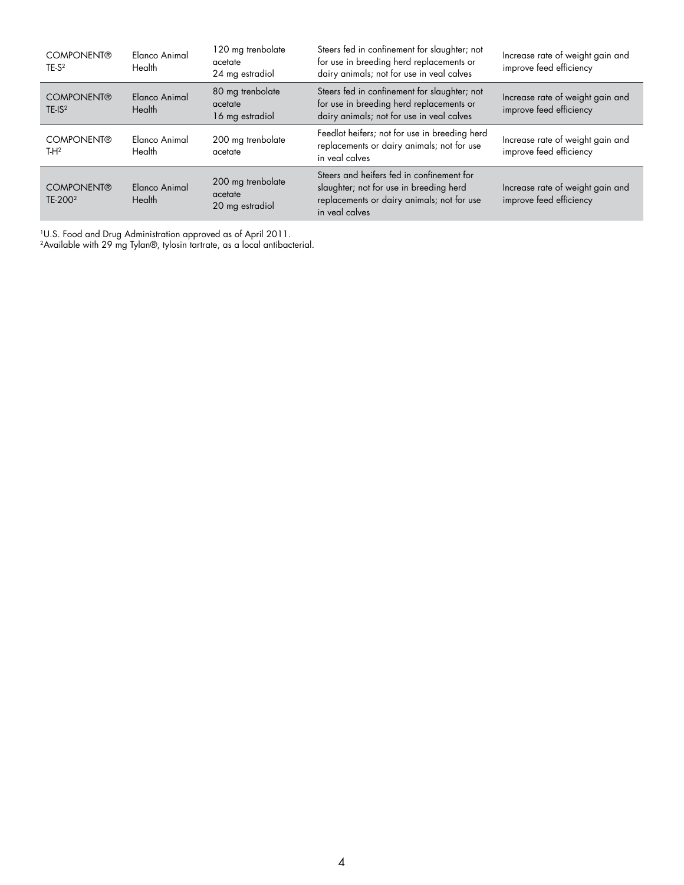| <b>COMPONENT®</b><br>$TE-S2$               | Elanco Animal<br>Health | 120 mg trenbolate<br>acetate<br>24 mg estradiol | Steers fed in confinement for slaughter; not<br>for use in breeding herd replacements or<br>dairy animals; not for use in veal calves                | Increase rate of weight gain and<br>improve feed efficiency |
|--------------------------------------------|-------------------------|-------------------------------------------------|------------------------------------------------------------------------------------------------------------------------------------------------------|-------------------------------------------------------------|
| <b>COMPONENT®</b><br>$TE$ -IS <sup>2</sup> | Elanco Animal<br>Health | 80 mg trenbolate<br>acetate<br>16 mg estradiol  | Steers fed in confinement for slaughter; not<br>for use in breeding herd replacements or<br>dairy animals; not for use in veal calves                | Increase rate of weight gain and<br>improve feed efficiency |
| <b>COMPONENT®</b><br>$TH^2$                | Elanco Animal<br>Health | 200 mg trenbolate<br>acetate                    | Feedlot heifers; not for use in breeding herd<br>replacements or dairy animals; not for use<br>in veal calves                                        | Increase rate of weight gain and<br>improve feed efficiency |
| <b>COMPONENT®</b><br>TE-200 <sup>2</sup>   | Elanco Animal<br>Health | 200 mg trenbolate<br>acetate<br>20 mg estradiol | Steers and heifers fed in confinement for<br>slaughter; not for use in breeding herd<br>replacements or dairy animals; not for use<br>in yeal calves | Increase rate of weight gain and<br>improve feed efficiency |

1U.S. Food and Drug Administration approved as of April 2011.

 $^2$ Available with 29 mg Tylan®, tylosin tartrate, as a local antibacterial.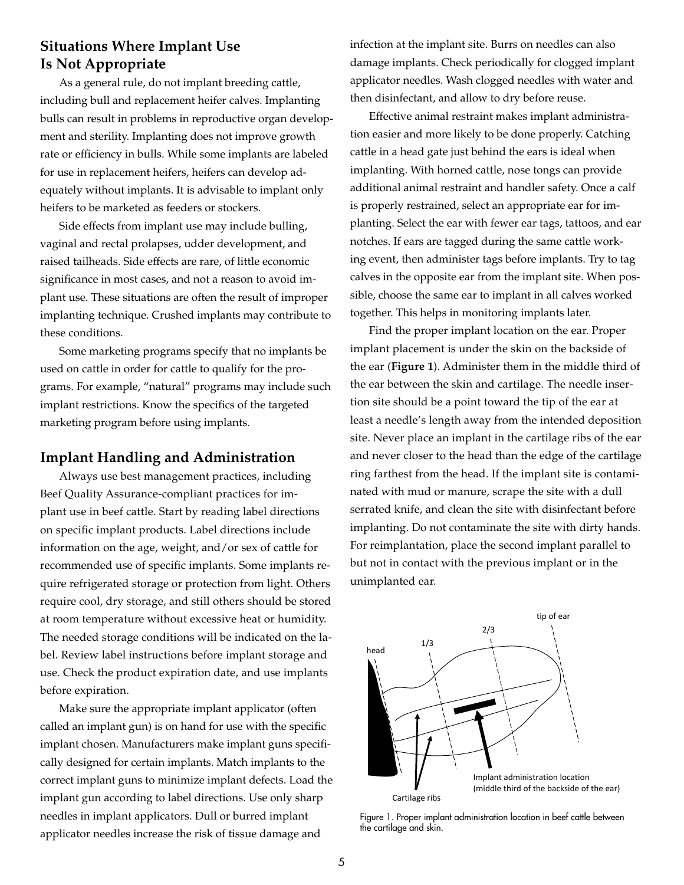# **Situations Where Implant Use Is Not Appropriate**

As a general rule, do not implant breeding cattle, including bull and replacement heifer calves. Implanting bulls can result in problems in reproductive organ development and sterility. Implanting does not improve growth rate or efficiency in bulls. While some implants are labeled for use in replacement heifers, heifers can develop adequately without implants. It is advisable to implant only heifers to be marketed as feeders or stockers.

Side effects from implant use may include bulling, vaginal and rectal prolapses, udder development, and raised tailheads. Side effects are rare, of little economic significance in most cases, and not a reason to avoid implant use. These situations are often the result of improper implanting technique. Crushed implants may contribute to these conditions.

Some marketing programs specify that no implants be used on cattle in order for cattle to qualify for the programs. For example, "natural" programs may include such implant restrictions. Know the specifics of the targeted marketing program before using implants.

#### **Implant Handling and Administration**

Always use best management practices, including Beef Quality Assurance-compliant practices for implant use in beef cattle. Start by reading label directions on specific implant products. Label directions include information on the age, weight, and/or sex of cattle for recommended use of specific implants. Some implants require refrigerated storage or protection from light. Others require cool, dry storage, and still others should be stored at room temperature without excessive heat or humidity. The needed storage conditions will be indicated on the label. Review label instructions before implant storage and use. Check the product expiration date, and use implants before expiration.

Make sure the appropriate implant applicator (often called an implant gun) is on hand for use with the specific implant chosen. Manufacturers make implant guns specifically designed for certain implants. Match implants to the correct implant guns to minimize implant defects. Load the implant gun according to label directions. Use only sharp needles in implant applicators. Dull or burred implant applicator needles increase the risk of tissue damage and

infection at the implant site. Burrs on needles can also damage implants. Check periodically for clogged implant applicator needles. Wash clogged needles with water and then disinfectant, and allow to dry before reuse.

Effective animal restraint makes implant administration easier and more likely to be done properly. Catching cattle in a head gate just behind the ears is ideal when implanting. With horned cattle, nose tongs can provide additional animal restraint and handler safety. Once a calf is properly restrained, select an appropriate ear for implanting. Select the ear with fewer ear tags, tattoos, and ear notches. If ears are tagged during the same cattle working event, then administer tags before implants. Try to tag calves in the opposite ear from the implant site. When possible, choose the same ear to implant in all calves worked together. This helps in monitoring implants later.

Find the proper implant location on the ear. Proper implant placement is under the skin on the backside of the ear (**Figure 1**). Administer them in the middle third of the ear between the skin and cartilage. The needle insertion site should be a point toward the tip of the ear at least a needle's length away from the intended deposition site. Never place an implant in the cartilage ribs of the ear and never closer to the head than the edge of the cartilage ring farthest from the head. If the implant site is contaminated with mud or manure, scrape the site with a dull serrated knife, and clean the site with disinfectant before implanting. Do not contaminate the site with dirty hands. For reimplantation, place the second implant parallel to but not in contact with the previous implant or in the unimplanted ear.



Figure 1. Proper implant administration location in beef cattle between the cartilage and skin.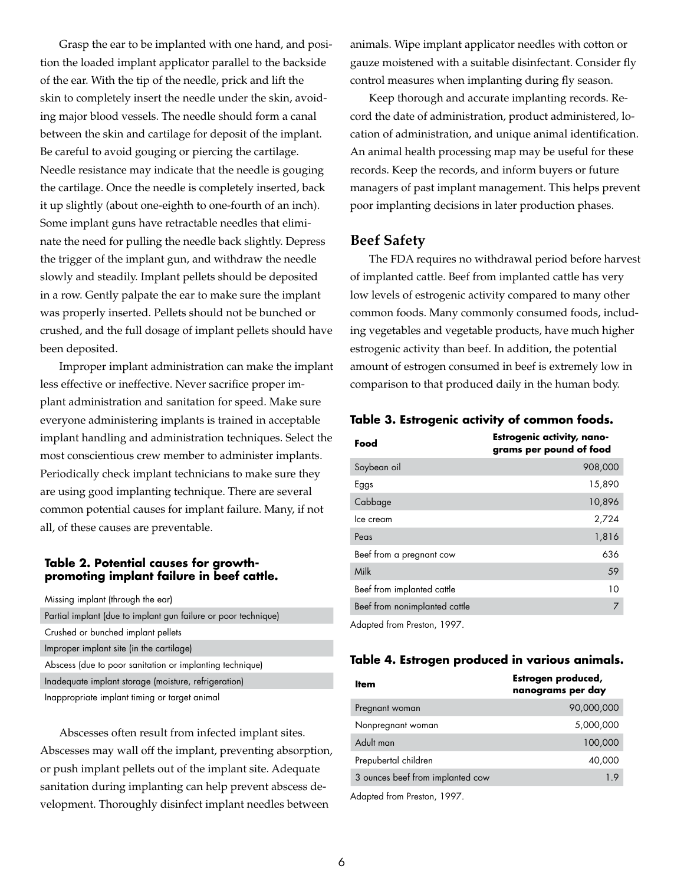Grasp the ear to be implanted with one hand, and position the loaded implant applicator parallel to the backside of the ear. With the tip of the needle, prick and lift the skin to completely insert the needle under the skin, avoiding major blood vessels. The needle should form a canal between the skin and cartilage for deposit of the implant. Be careful to avoid gouging or piercing the cartilage. Needle resistance may indicate that the needle is gouging the cartilage. Once the needle is completely inserted, back it up slightly (about one-eighth to one-fourth of an inch). Some implant guns have retractable needles that eliminate the need for pulling the needle back slightly. Depress the trigger of the implant gun, and withdraw the needle slowly and steadily. Implant pellets should be deposited in a row. Gently palpate the ear to make sure the implant was properly inserted. Pellets should not be bunched or crushed, and the full dosage of implant pellets should have been deposited.

Improper implant administration can make the implant less effective or ineffective. Never sacrifice proper implant administration and sanitation for speed. Make sure everyone administering implants is trained in acceptable implant handling and administration techniques. Select the most conscientious crew member to administer implants. Periodically check implant technicians to make sure they are using good implanting technique. There are several common potential causes for implant failure. Many, if not all, of these causes are preventable.

#### **Table 2. Potential causes for growthpromoting implant failure in beef cattle.**

| Missing implant (through the ear)                              |
|----------------------------------------------------------------|
| Partial implant (due to implant gun failure or poor technique) |
| Crushed or bunched implant pellets                             |
| Improper implant site (in the cartilage)                       |
| Abscess (due to poor sanitation or implanting technique)       |
| Inadequate implant storage (moisture, refrigeration)           |
| Inappropriate implant timing or target animal                  |

Abscesses often result from infected implant sites. Abscesses may wall off the implant, preventing absorption, or push implant pellets out of the implant site. Adequate sanitation during implanting can help prevent abscess development. Thoroughly disinfect implant needles between

animals. Wipe implant applicator needles with cotton or gauze moistened with a suitable disinfectant. Consider fly control measures when implanting during fly season.

Keep thorough and accurate implanting records. Record the date of administration, product administered, location of administration, and unique animal identification. An animal health processing map may be useful for these records. Keep the records, and inform buyers or future managers of past implant management. This helps prevent poor implanting decisions in later production phases.

## **Beef Safety**

The FDA requires no withdrawal period before harvest of implanted cattle. Beef from implanted cattle has very low levels of estrogenic activity compared to many other common foods. Many commonly consumed foods, including vegetables and vegetable products, have much higher estrogenic activity than beef. In addition, the potential amount of estrogen consumed in beef is extremely low in comparison to that produced daily in the human body.

## **Table 3. Estrogenic activity of common foods.**

| Food                          | <b>Estrogenic activity, nano-</b><br>grams per pound of food |
|-------------------------------|--------------------------------------------------------------|
| Soybean oil                   | 908,000                                                      |
| Eggs                          | 15,890                                                       |
| Cabbage                       | 10,896                                                       |
| Ice cream                     | 2,724                                                        |
| Peas                          | 1,816                                                        |
| Beef from a pregnant cow      | 636                                                          |
| Milk                          | 59                                                           |
| Beef from implanted cattle    | 10                                                           |
| Beef from nonimplanted cattle | 7                                                            |
|                               |                                                              |

Adapted from Preston, 1997.

## **Table 4. Estrogen produced in various animals.**

| ltem                             | Estrogen produced,<br>nanograms per day |
|----------------------------------|-----------------------------------------|
| Pregnant woman                   | 90,000,000                              |
| Nonpregnant woman                | 5,000,000                               |
| Adult man                        | 100,000                                 |
| Prepubertal children             | 40,000                                  |
| 3 ounces beef from implanted cow | 19                                      |
|                                  |                                         |

Adapted from Preston, 1997.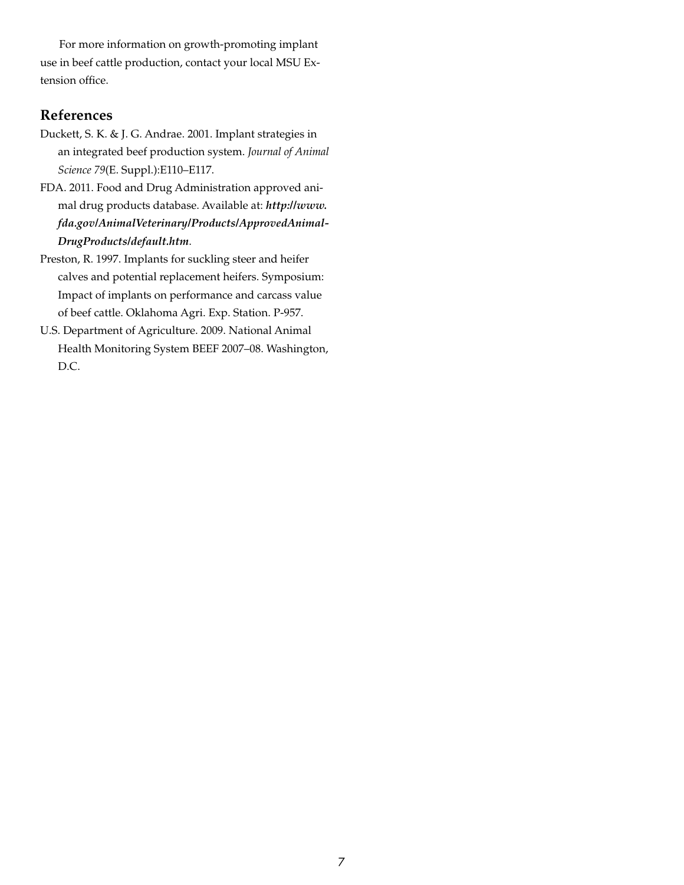For more information on growth-promoting implant use in beef cattle production, contact your local MSU Extension office.

# **References**

- Duckett, S. K. & J. G. Andrae. 2001. Implant strategies in an integrated beef production system. *Journal of Animal Science 79*(E. Suppl.):E110–E117.
- FDA. 2011. Food and Drug Administration approved animal drug products database. Available at: *http://www. fda.gov/AnimalVeterinary/Products/ApprovedAnimal-DrugProducts/default.htm*.
- Preston, R. 1997. Implants for suckling steer and heifer calves and potential replacement heifers. Symposium: Impact of implants on performance and carcass value of beef cattle. Oklahoma Agri. Exp. Station. P-957.
- U.S. Department of Agriculture. 2009. National Animal Health Monitoring System BEEF 2007–08. Washington, D.C.